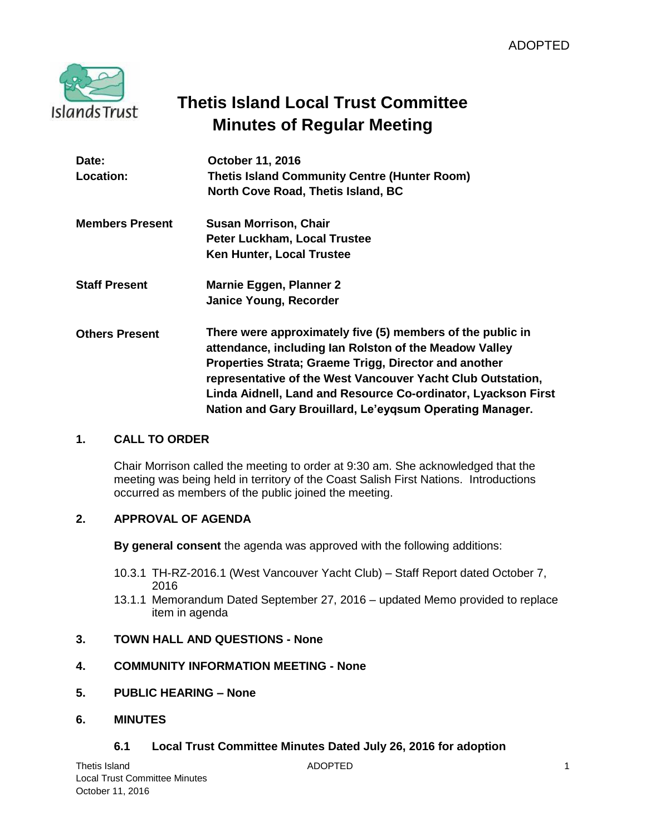

# **Thetis Island Local Trust Committee Minutes of Regular Meeting**

| Date:                  | October 11, 2016                                              |
|------------------------|---------------------------------------------------------------|
| Location:              | <b>Thetis Island Community Centre (Hunter Room)</b>           |
|                        | North Cove Road, Thetis Island, BC                            |
| <b>Members Present</b> | <b>Susan Morrison, Chair</b>                                  |
|                        | Peter Luckham, Local Trustee                                  |
|                        | <b>Ken Hunter, Local Trustee</b>                              |
| <b>Staff Present</b>   | Marnie Eggen, Planner 2                                       |
|                        | Janice Young, Recorder                                        |
| <b>Others Present</b>  | There were approximately five (5) members of the public in    |
|                        | attendance, including lan Rolston of the Meadow Valley        |
|                        | Properties Strata; Graeme Trigg, Director and another         |
|                        | representative of the West Vancouver Yacht Club Outstation,   |
|                        | Linda Aidnell, Land and Resource Co-ordinator, Lyackson First |
|                        | Nation and Gary Brouillard, Le'eygsum Operating Manager.      |

# **1. CALL TO ORDER**

Chair Morrison called the meeting to order at 9:30 am. She acknowledged that the meeting was being held in territory of the Coast Salish First Nations. Introductions occurred as members of the public joined the meeting.

# **2. APPROVAL OF AGENDA**

**By general consent** the agenda was approved with the following additions:

- 10.3.1 TH-RZ-2016.1 (West Vancouver Yacht Club) Staff Report dated October 7, 2016
- 13.1.1 Memorandum Dated September 27, 2016 updated Memo provided to replace item in agenda

# **3. TOWN HALL AND QUESTIONS - None**

# **4. COMMUNITY INFORMATION MEETING - None**

- **5. PUBLIC HEARING – None**
- **6. MINUTES**

# **6.1 Local Trust Committee Minutes Dated July 26, 2016 for adoption**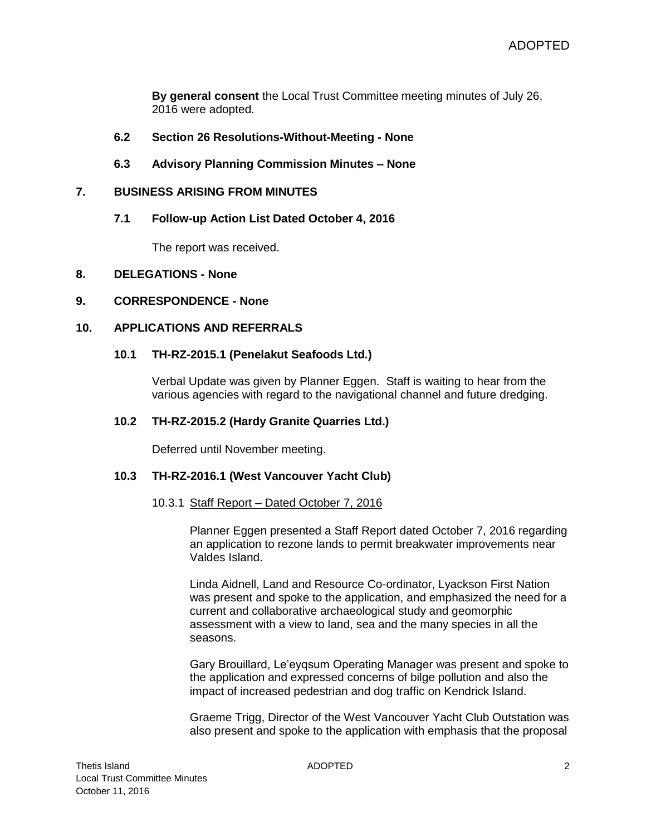**By general consent** the Local Trust Committee meeting minutes of July 26, 2016 were adopted.

- **6.2 Section 26 Resolutions-Without-Meeting - None**
- **6.3 Advisory Planning Commission Minutes – None**

#### **7. BUSINESS ARISING FROM MINUTES**

**7.1 Follow-up Action List Dated October 4, 2016**

The report was received.

#### **8. DELEGATIONS - None**

#### **9. CORRESPONDENCE - None**

## **10. APPLICATIONS AND REFERRALS**

#### **10.1 TH-RZ-2015.1 (Penelakut Seafoods Ltd.)**

Verbal Update was given by Planner Eggen. Staff is waiting to hear from the various agencies with regard to the navigational channel and future dredging.

#### **10.2 TH-RZ-2015.2 (Hardy Granite Quarries Ltd.)**

Deferred until November meeting.

#### **10.3 TH-RZ-2016.1 (West Vancouver Yacht Club)**

#### 10.3.1 Staff Report – Dated October 7, 2016

Planner Eggen presented a Staff Report dated October 7, 2016 regarding an application to rezone lands to permit breakwater improvements near Valdes Island.

Linda Aidnell, Land and Resource Co-ordinator, Lyackson First Nation was present and spoke to the application, and emphasized the need for a current and collaborative archaeological study and geomorphic assessment with a view to land, sea and the many species in all the seasons.

Gary Brouillard, Le'eyqsum Operating Manager was present and spoke to the application and expressed concerns of bilge pollution and also the impact of increased pedestrian and dog traffic on Kendrick Island.

Graeme Trigg, Director of the West Vancouver Yacht Club Outstation was also present and spoke to the application with emphasis that the proposal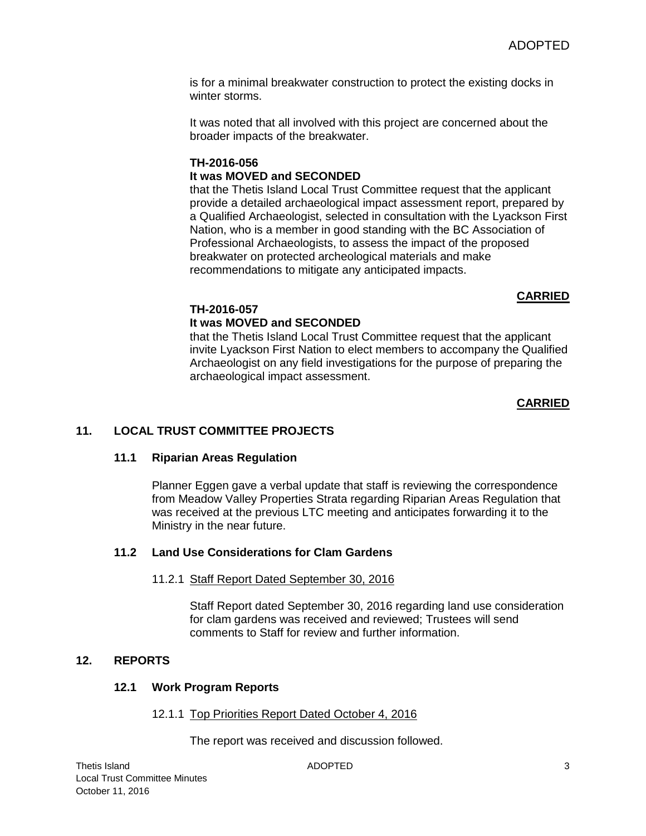is for a minimal breakwater construction to protect the existing docks in winter storms.

It was noted that all involved with this project are concerned about the broader impacts of the breakwater.

# **TH-2016-056 It was MOVED and SECONDED**

that the Thetis Island Local Trust Committee request that the applicant provide a detailed archaeological impact assessment report, prepared by a Qualified Archaeologist, selected in consultation with the Lyackson First Nation, who is a member in good standing with the BC Association of Professional Archaeologists, to assess the impact of the proposed breakwater on protected archeological materials and make recommendations to mitigate any anticipated impacts.

# **CARRIED**

# **TH-2016-057**

# **It was MOVED and SECONDED**

that the Thetis Island Local Trust Committee request that the applicant invite Lyackson First Nation to elect members to accompany the Qualified Archaeologist on any field investigations for the purpose of preparing the archaeological impact assessment.

## **CARRIED**

# **11. LOCAL TRUST COMMITTEE PROJECTS**

## **11.1 Riparian Areas Regulation**

Planner Eggen gave a verbal update that staff is reviewing the correspondence from Meadow Valley Properties Strata regarding Riparian Areas Regulation that was received at the previous LTC meeting and anticipates forwarding it to the Ministry in the near future.

# **11.2 Land Use Considerations for Clam Gardens**

## 11.2.1 Staff Report Dated September 30, 2016

Staff Report dated September 30, 2016 regarding land use consideration for clam gardens was received and reviewed; Trustees will send comments to Staff for review and further information.

# **12. REPORTS**

## **12.1 Work Program Reports**

12.1.1 Top Priorities Report Dated October 4, 2016

The report was received and discussion followed.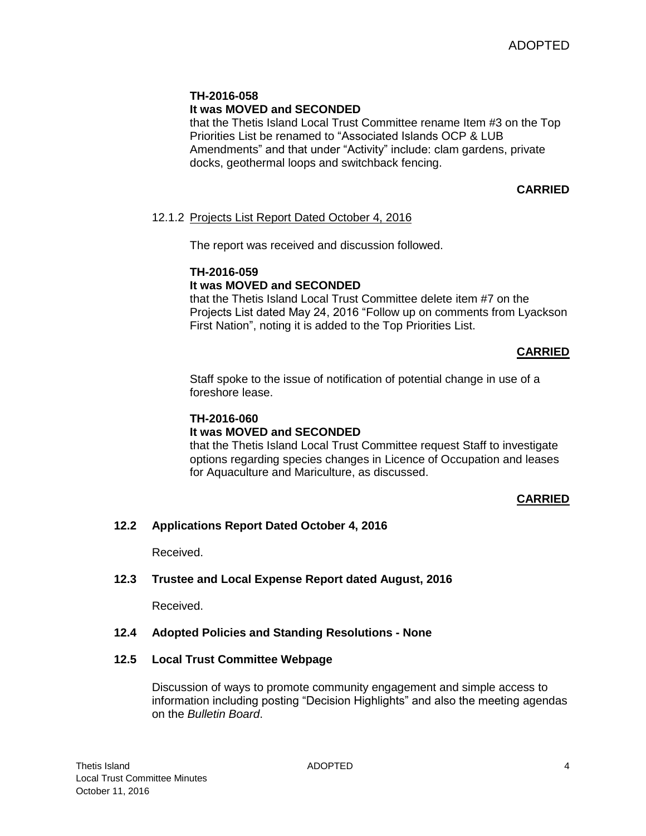## **TH-2016-058 It was MOVED and SECONDED**

that the Thetis Island Local Trust Committee rename Item #3 on the Top Priorities List be renamed to "Associated Islands OCP & LUB Amendments" and that under "Activity" include: clam gardens, private docks, geothermal loops and switchback fencing.

# **CARRIED**

## 12.1.2 Projects List Report Dated October 4, 2016

The report was received and discussion followed.

#### **TH-2016-059 It was MOVED and SECONDED**

that the Thetis Island Local Trust Committee delete item #7 on the Projects List dated May 24, 2016 "Follow up on comments from Lyackson First Nation", noting it is added to the Top Priorities List.

# **CARRIED**

Staff spoke to the issue of notification of potential change in use of a foreshore lease.

## **TH-2016-060**

## **It was MOVED and SECONDED**

that the Thetis Island Local Trust Committee request Staff to investigate options regarding species changes in Licence of Occupation and leases for Aquaculture and Mariculture, as discussed.

## **CARRIED**

## **12.2 Applications Report Dated October 4, 2016**

Received.

## **12.3 Trustee and Local Expense Report dated August, 2016**

Received.

## **12.4 Adopted Policies and Standing Resolutions - None**

## **12.5 Local Trust Committee Webpage**

Discussion of ways to promote community engagement and simple access to information including posting "Decision Highlights" and also the meeting agendas on the *Bulletin Board*.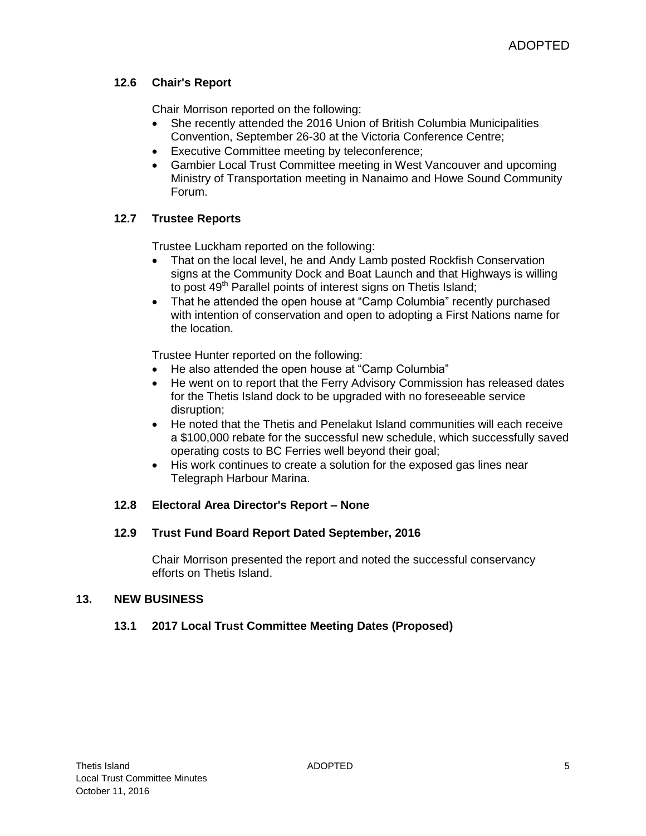# **12.6 Chair's Report**

Chair Morrison reported on the following:

- She recently attended the 2016 Union of British Columbia Municipalities Convention, September 26-30 at the Victoria Conference Centre;
- Executive Committee meeting by teleconference;
- Gambier Local Trust Committee meeting in West Vancouver and upcoming Ministry of Transportation meeting in Nanaimo and Howe Sound Community Forum.

# **12.7 Trustee Reports**

Trustee Luckham reported on the following:

- That on the local level, he and Andy Lamb posted Rockfish Conservation signs at the Community Dock and Boat Launch and that Highways is willing to post 49<sup>th</sup> Parallel points of interest signs on Thetis Island;
- That he attended the open house at "Camp Columbia" recently purchased with intention of conservation and open to adopting a First Nations name for the location.

Trustee Hunter reported on the following:

- He also attended the open house at "Camp Columbia"
- He went on to report that the Ferry Advisory Commission has released dates for the Thetis Island dock to be upgraded with no foreseeable service disruption;
- He noted that the Thetis and Penelakut Island communities will each receive a \$100,000 rebate for the successful new schedule, which successfully saved operating costs to BC Ferries well beyond their goal;
- His work continues to create a solution for the exposed gas lines near Telegraph Harbour Marina.

# **12.8 Electoral Area Director's Report – None**

# **12.9 Trust Fund Board Report Dated September, 2016**

Chair Morrison presented the report and noted the successful conservancy efforts on Thetis Island.

# **13. NEW BUSINESS**

# **13.1 2017 Local Trust Committee Meeting Dates (Proposed)**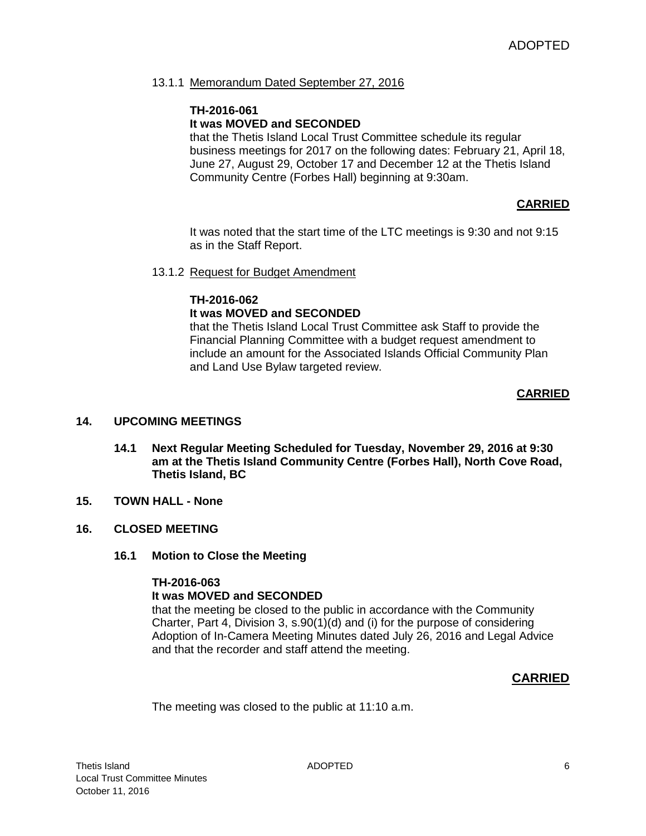## 13.1.1 Memorandum Dated September 27, 2016

## **TH-2016-061 It was MOVED and SECONDED**

that the Thetis Island Local Trust Committee schedule its regular business meetings for 2017 on the following dates: February 21, April 18, June 27, August 29, October 17 and December 12 at the Thetis Island Community Centre (Forbes Hall) beginning at 9:30am.

#### **CARRIED**

It was noted that the start time of the LTC meetings is 9:30 and not 9:15 as in the Staff Report.

#### 13.1.2 Request for Budget Amendment

#### **TH-2016-062 It was MOVED and SECONDED**

that the Thetis Island Local Trust Committee ask Staff to provide the Financial Planning Committee with a budget request amendment to include an amount for the Associated Islands Official Community Plan and Land Use Bylaw targeted review.

## **CARRIED**

#### **14. UPCOMING MEETINGS**

- **14.1 Next Regular Meeting Scheduled for Tuesday, November 29, 2016 at 9:30 am at the Thetis Island Community Centre (Forbes Hall), North Cove Road, Thetis Island, BC**
- **15. TOWN HALL - None**

#### **16. CLOSED MEETING**

**16.1 Motion to Close the Meeting**

#### **TH-2016-063**

#### **It was MOVED and SECONDED**

that the meeting be closed to the public in accordance with the Community Charter, Part 4, Division 3, s.90(1)(d) and (i) for the purpose of considering Adoption of In-Camera Meeting Minutes dated July 26, 2016 and Legal Advice and that the recorder and staff attend the meeting.

## **CARRIED**

The meeting was closed to the public at 11:10 a.m.